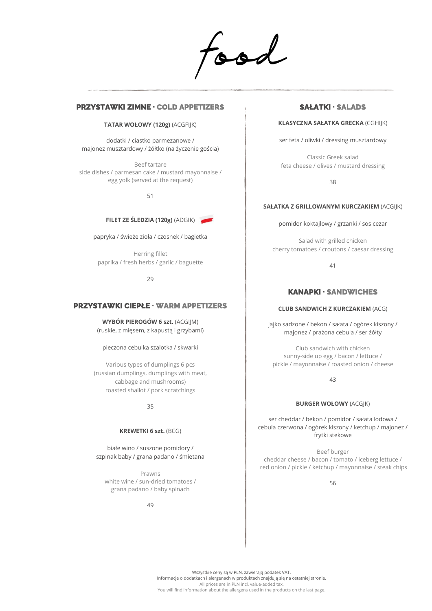food

## **PRZYSTAWKI ZIMNE . COLD APPETIZERS**

#### **TATAR WOŁOWY (120g)** (ACGFIJK)

dodatki / ciastko parmezanowe / majonez musztardowy / żółtko (na życzenie gościa)

Beef tartare side dishes / parmesan cake / mustard mayonnaise / egg yolk (served at the request)

51

### **FILET ZE ŚLEDZIA (120g)** (ADGIK)

papryka / świeże zioła / czosnek / bagietka

Herring fillet paprika / fresh herbs / garlic / baguette

29

## **PRZYSTAWKI CIEPŁE . WARM APPETIZERS**

**WYBÓR PIEROGÓW 6 szt.** (ACGIJM) (ruskie, z mięsem, z kapustą i grzybami)

pieczona cebulka szalotka / skwarki

Various types of dumplings 6 pcs (russian dumplings, dumplings with meat, cabbage and mushrooms) roasted shallot / pork scratchings

35

#### **KREWETKI 6 szt.** (BCG)

białe wino / suszone pomidory / szpinak baby / grana padano / śmietana

Prawns white wine / sun-dried tomatoes / grana padano / baby spinach

49

## **SAŁATKI . SALADS**

### **KLASYCZNA SAŁATKA GRECKA** (CGHIJK)

ser feta / oliwki / dressing musztardowy

Classic Greek salad feta cheese / olives / mustard dressing

38

### **SAŁATKA Z GRILLOWANYM KURCZAKIEM** (ACGIJK)

pomidor koktajlowy / grzanki / sos cezar

Salad with grilled chicken cherry tomatoes / croutons / caesar dressing

41

## **KANAPKI . SANDWICHES**

#### **CLUB SANDWICH Z KURCZAKIEM** (ACG)

jajko sadzone / bekon / sałata / ogórek kiszony / majonez / prażona cebula / ser żółty

Club sandwich with chicken sunny-side up egg / bacon / lettuce / pickle / mayonnaise / roasted onion / cheese

43

#### **BURGER WOŁOWY** (ACGJK)

ser cheddar / bekon / pomidor / sałata lodowa / cebula czerwona / ogórek kiszony / ketchup / majonez / frytki stekowe

Beef burger cheddar cheese / bacon / tomato / iceberg lettuce / red onion / pickle / ketchup / mayonnaise / steak chips

56

Wszystkie ceny są w PLN, zawierają podatek VAT. Informacje o dodatkach i alergenach w produktach znajdują się na ostatniej stronie. All prices are in PLN incl. value-added tax. You will find information about the allergens used in the products on the last page.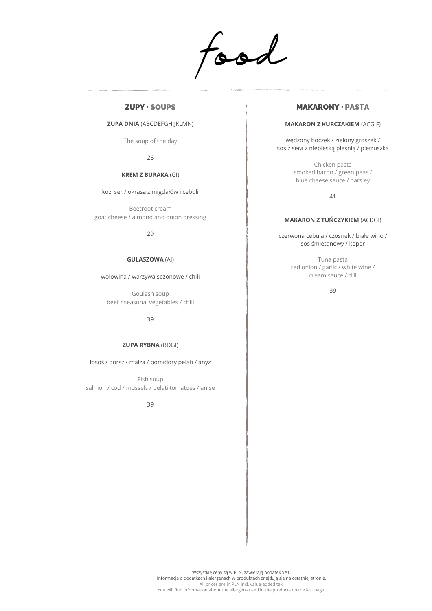food

## **ZUPY . SOUPS**

#### **ZUPA DNIA** (ABCDEFGHIJKLMN)

The soup of the day

26

### **KREM Z BURAKA** (GI)

kozi ser / okrasa z migdałów i cebuli

Beetroot cream goat cheese / almond and onion dressing

29

### **GULASZOWA** (AI)

wołowina / warzywa sezonowe / chili

Goulash soup beef / seasonal vegetables / chili

39

#### **ZUPA RYBNA** (BDGI)

łosoś / dorsz / małża / pomidory pelati / anyż

Fish soup salmon / cod / mussels / pelati tomatoes / anise

39

## **MAKARONY . PASTA**

#### **MAKARON Z KURCZAKIEM** (ACGIF)

wędzony boczek / zielony groszek / sos z sera z niebieską pleśnią / pietruszka

> Chicken pasta smoked bacon / green peas / blue cheese sauce / parsley

> > 41

#### **MAKARON Z TUŃCZYKIEM** (ACDGI)

czerwona cebula / czosnek / białe wino / sos śmietanowy / koper

> Tuna pasta red onion / garlic / white wine / cream sauce / dill

> > 39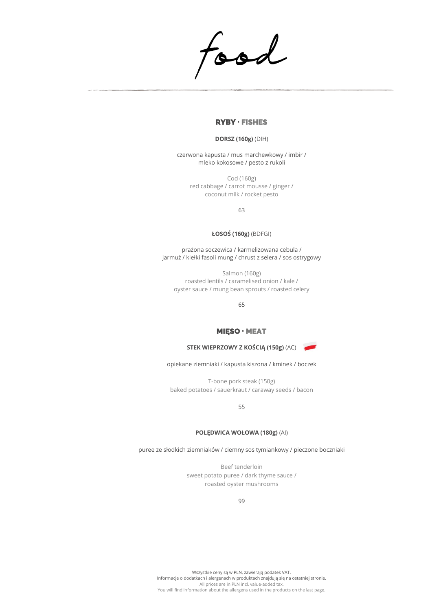food

## **RYBY . FISHES**

### **DORSZ (160g)** (DIH)

czerwona kapusta / mus marchewkowy / imbir / mleko kokosowe / pesto z rukoli

Cod (160g) red cabbage / carrot mousse / ginger / coconut milk / rocket pesto

63

### **ŁOSOŚ (160g)** (BDFGI)

prażona soczewica / karmelizowana cebula / jarmuż / kiełki fasoli mung / chrust z selera / sos ostrygowy

Salmon (160g) roasted lentils / caramelised onion / kale / oyster sauce / mung bean sprouts / roasted celery

65

## **MIĘSO . MEAT**

### **STEK WIEPRZOWY Z KOŚCIĄ (150g)** (AC)

opiekane ziemniaki / kapusta kiszona / kminek / boczek

T-bone pork steak (150g) baked potatoes / sauerkraut / caraway seeds / bacon

55

### **POLĘDWICA WOŁOWA (180g)** (AI)

puree ze słodkich ziemniaków / ciemny sos tymiankowy / pieczone boczniaki

Beef tenderloin sweet potato puree / dark thyme sauce / roasted oyster mushrooms

99

Wszystkie ceny są w PLN, zawierają podatek VAT. Informacje o dodatkach i alergenach w produktach znajdują się na ostatniej stronie. All prices are in PLN incl. value-added tax. You will find information about the allergens used in the products on the last page.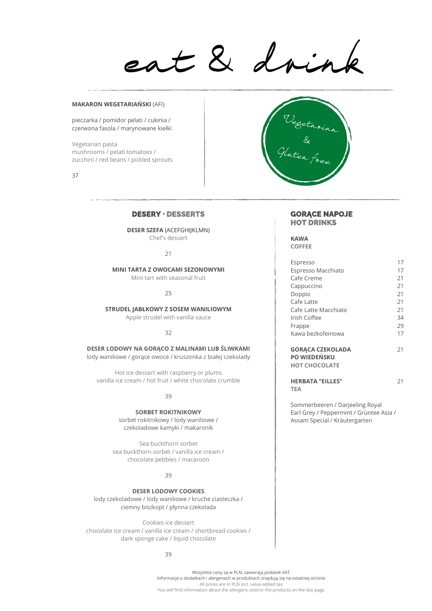eat & drink

#### **MAKARON WEGETARIAŃSKI** (AFI)

pieczarka / pomidor pelati / cukinia / czerwona fasola / marynowane kiełki

Vegetarian pasta mushrooms / pelati tomatoes / zucchini / red beans / pickled sprouts

37

## **DESERY . DESSERTS**

**DESER SZEFA** (ACEFGHIJKLMN) Chef's dessert

 $21$ 

**MINI TARTA Z OWOCAMI SEZONOWYMI** Mini tart with seasonal fruit

25

**STRUDEL JABŁKOWY Z SOSEM WANILIOWYM** Apple strudel with vanilla sauce

#### $22$

**DESER LODOWY NA GORĄCO Z MALINAMI LUB ŚLIWKAMI** lody waniliowe / gorące owoce / kruszonka z białej czekolady

Hot ice dessert with raspberry or plums vanilla ice cream / hot fruit / white chocolate crumble

39

**SORBET ROKITNIKOWY** sorbet rokitnikowy / lody waniliowe / czekoladowe kamyki / makaronik

Sea buckthorn sorbet sea buckthorn sorbet / vanilla ice cream / chocolate pebbles / macaroon

39

**DESER LODOWY COOKIES** lody czekoladowe / lody waniliowe / kruche ciasteczka / ciemny biszkopt / płynna czekolada

Cookies ice dessert chocolate ice cream / vanilla ice cream / shortbread cookies / dark sponge cake / liquid chocolate

39



#### **GORĄCE NAPOJE HOT DRINKS**

**KAWA COFFEE**

| Espresso                                                        | 17 |
|-----------------------------------------------------------------|----|
| Espresso Macchiato                                              | 17 |
| Cafe Creme                                                      | 21 |
| Cappuccino                                                      | 21 |
| Doppio                                                          | 21 |
| Cafe Latte                                                      | 21 |
| Cafe Latte Macchiato                                            | 21 |
| Irish Coffee                                                    | 34 |
| Frappe                                                          | 29 |
| Kawa bezkofeinowa                                               | 17 |
| <b>GORACA CZEKOLADA</b><br>PO WIEDEŃSKU<br><b>HOT CHOCOLATE</b> | 21 |
| <b>HERBATA "EILLES"</b><br>TEA                                  | 21 |

Sommerbeeren / Darjeeling Royal Earl Grey / Peppermint / Grüntee Asia / Assam Special / Kräutergarten

Wszystkie ceny są w PLN, zawierają podatek VAT. Informacje o dodatkach i alergenach w produktach znajdują się na ostatniej stronie. All prices are in PLN incl. value-added tax. You will find information about the allergens used in the products on the last page.